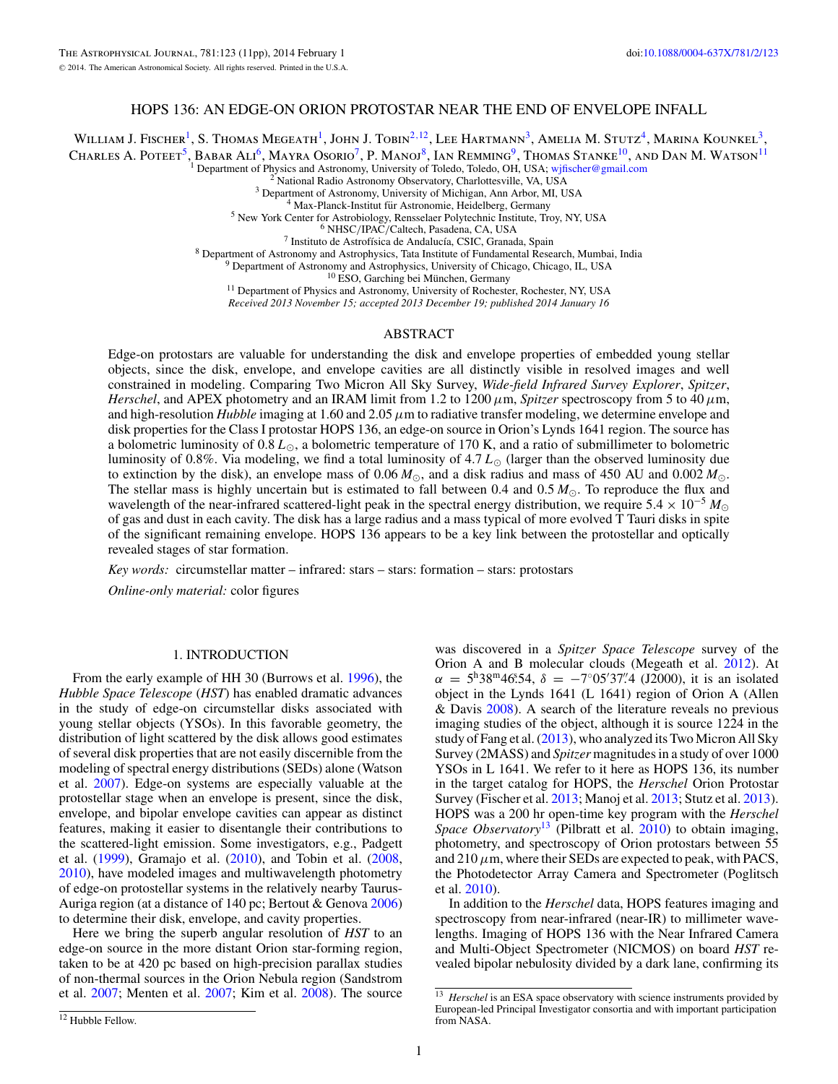# HOPS 136: AN EDGE-ON ORION PROTOSTAR NEAR THE END OF ENVELOPE INFALL

William J. Fischer<sup>1</sup>, S. Thomas Megeath<sup>1</sup>, John J. Tobin<sup>2,12</sup>, Lee Hartmann<sup>3</sup>, Amelia M. Stutz<sup>4</sup>, Marina Kounkel<sup>3</sup>, Charles A. Poteet<sup>5</sup>, Babar Ali<sup>6</sup>, Mayra Osorio<sup>7</sup>, P. Manoj<sup>8</sup>, Ian Remming<sup>9</sup>, Thomas Stanke<sup>10</sup>, and Dan M. Watson<sup>11</sup>

<sup>1</sup> Department of Physics and Astronomy, University of Toledo, Toledo, OH, USA; [wjfischer@gmail.com](mailto:wjfischer@gmail.com)<br>
<sup>2</sup> National Radio Astronomy Observatory, Charlottesville, VA, USA<br>
<sup>3</sup> Department of Astronomy, University of Michigan,

*Received 2013 November 15; accepted 2013 December 19; published 2014 January 16*

## ABSTRACT

Edge-on protostars are valuable for understanding the disk and envelope properties of embedded young stellar objects, since the disk, envelope, and envelope cavities are all distinctly visible in resolved images and well constrained in modeling. Comparing Two Micron All Sky Survey, *Wide-field Infrared Survey Explorer*, *Spitzer*, *Herschel*, and APEX photometry and an IRAM limit from 1.2 to 1200  $\mu$ m, *Spitzer* spectroscopy from 5 to 40  $\mu$ m, and high-resolution *Hubble* imaging at 1.60 and 2.05*μ*m to radiative transfer modeling, we determine envelope and disk properties for the Class I protostar HOPS 136, an edge-on source in Orion's Lynds 1641 region. The source has a bolometric luminosity of  $0.8 L_{\odot}$ , a bolometric temperature of 170 K, and a ratio of submillimeter to bolometric luminosity of 0.8%. Via modeling, we find a total luminosity of 4.7  $L_{\odot}$  (larger than the observed luminosity due to extinction by the disk), an envelope mass of 0.06  $M_{\odot}$ , and a disk radius and mass of 450 AU and 0.002  $M_{\odot}$ . The stellar mass is highly uncertain but is estimated to fall between 0.4 and  $0.5 M_{\odot}$ . To reproduce the flux and wavelength of the near-infrared scattered-light peak in the spectral energy distribution, we require  $5.4 \times 10^{-5} M_{\odot}$ of gas and dust in each cavity. The disk has a large radius and a mass typical of more evolved T Tauri disks in spite of the significant remaining envelope. HOPS 136 appears to be a key link between the protostellar and optically revealed stages of star formation.

*Key words:* circumstellar matter – infrared: stars – stars: formation – stars: protostars

*Online-only material:* color figures

# 1. INTRODUCTION

From the early example of HH 30 (Burrows et al. [1996\)](#page-10-0), the *Hubble Space Telescope* (*HST*) has enabled dramatic advances in the study of edge-on circumstellar disks associated with young stellar objects (YSOs). In this favorable geometry, the distribution of light scattered by the disk allows good estimates of several disk properties that are not easily discernible from the modeling of spectral energy distributions (SEDs) alone (Watson et al. [2007\)](#page-10-0). Edge-on systems are especially valuable at the protostellar stage when an envelope is present, since the disk, envelope, and bipolar envelope cavities can appear as distinct features, making it easier to disentangle their contributions to the scattered-light emission. Some investigators, e.g., Padgett et al. [\(1999\)](#page-10-0), Gramajo et al. [\(2010\)](#page-10-0), and Tobin et al. [\(2008,](#page-10-0) [2010\)](#page-10-0), have modeled images and multiwavelength photometry of edge-on protostellar systems in the relatively nearby Taurus-Auriga region (at a distance of 140 pc; Bertout & Genova [2006\)](#page-10-0) to determine their disk, envelope, and cavity properties.

Here we bring the superb angular resolution of *HST* to an edge-on source in the more distant Orion star-forming region, taken to be at 420 pc based on high-precision parallax studies of non-thermal sources in the Orion Nebula region (Sandstrom et al. [2007;](#page-10-0) Menten et al. [2007;](#page-10-0) Kim et al. [2008\)](#page-10-0). The source

In addition to the *Herschel* data, HOPS features imaging and spectroscopy from near-infrared (near-IR) to millimeter wavelengths. Imaging of HOPS 136 with the Near Infrared Camera and Multi-Object Spectrometer (NICMOS) on board *HST* revealed bipolar nebulosity divided by a dark lane, confirming its

was discovered in a *Spitzer Space Telescope* survey of the Orion A and B molecular clouds (Megeath et al. [2012\)](#page-10-0). At  $\alpha = 5^{\text{h}} 38^{\text{m}} 46.54, \delta = -7°05' 37''$ . (J2000), it is an isolated object in the Lynds 1641 (L 1641) region of Orion A (Allen & Davis [2008\)](#page-10-0). A search of the literature reveals no previous imaging studies of the object, although it is source 1224 in the study of Fang et al. [\(2013\)](#page-10-0), who analyzed its Two Micron All Sky Survey (2MASS) and *Spitzer* magnitudes in a study of over 1000 YSOs in L 1641. We refer to it here as HOPS 136, its number in the target catalog for HOPS, the *Herschel* Orion Protostar Survey (Fischer et al. [2013;](#page-10-0) Manoj et al. [2013;](#page-10-0) Stutz et al. [2013\)](#page-10-0). HOPS was a 200 hr open-time key program with the *Herschel Space Observatory*<sup>13</sup> (Pilbratt et al. [2010\)](#page-10-0) to obtain imaging, photometry, and spectroscopy of Orion protostars between 55 and  $210 \mu$ m, where their SEDs are expected to peak, with PACS, the Photodetector Array Camera and Spectrometer (Poglitsch et al. [2010\)](#page-10-0).

<sup>&</sup>lt;sup>13</sup> *Herschel* is an ESA space observatory with science instruments provided by European-led Principal Investigator consortia and with important participation from NASA.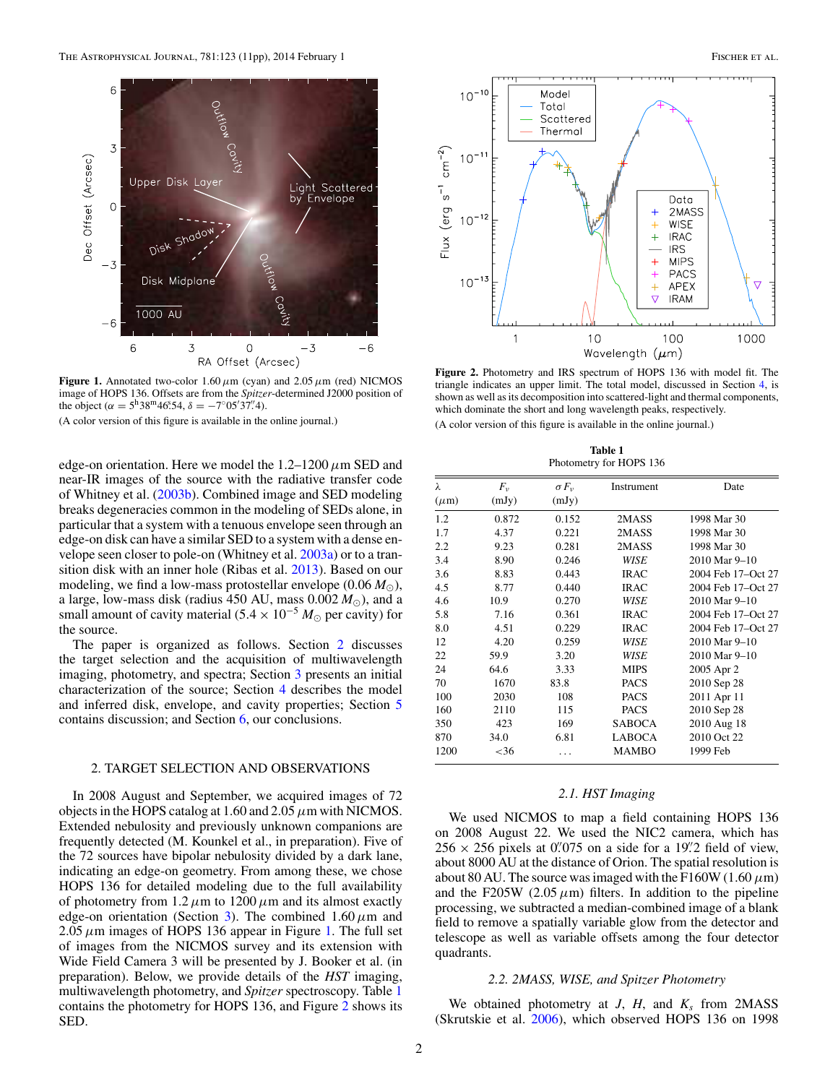<span id="page-1-0"></span>

**Figure 1.** Annotated two-color 1.60*μ*m (cyan) and 2.05*μ*m (red) NICMOS image of HOPS 136. Offsets are from the *Spitzer*-determined J2000 position of the object ( $\alpha = 5^{\text{h}} 38^{\text{m}} 46^{\text{s}} 54$ ,  $\delta = -7^{\circ} 05' 37'' 4$ ).

(A color version of this figure is available in the online journal.)

edge-on orientation. Here we model the 1.2–1200*μ*m SED and near-IR images of the source with the radiative transfer code of Whitney et al. [\(2003b\)](#page-10-0). Combined image and SED modeling breaks degeneracies common in the modeling of SEDs alone, in particular that a system with a tenuous envelope seen through an edge-on disk can have a similar SED to a system with a dense envelope seen closer to pole-on (Whitney et al. [2003a\)](#page-10-0) or to a transition disk with an inner hole (Ribas et al. [2013\)](#page-10-0). Based on our modeling, we find a low-mass protostellar envelope  $(0.06 M_{\odot})$ , a large, low-mass disk (radius 450 AU, mass  $0.002 M_{\odot}$ ), and a small amount of cavity material (5.4  $\times$  10<sup>-5</sup>  $M_{\odot}$  per cavity) for the source.

The paper is organized as follows. Section 2 discusses the target selection and the acquisition of multiwavelength imaging, photometry, and spectra; Section [3](#page-3-0) presents an initial characterization of the source; Section [4](#page-3-0) describes the model and inferred disk, envelope, and cavity properties; Section [5](#page-7-0) contains discussion; and Section [6,](#page-9-0) our conclusions.

## 2. TARGET SELECTION AND OBSERVATIONS

In 2008 August and September, we acquired images of 72 objects in the HOPS catalog at 1.60 and 2.05*μ*m with NICMOS. Extended nebulosity and previously unknown companions are frequently detected (M. Kounkel et al., in preparation). Five of the 72 sources have bipolar nebulosity divided by a dark lane, indicating an edge-on geometry. From among these, we chose HOPS 136 for detailed modeling due to the full availability of photometry from  $1.2 \mu m$  to  $1200 \mu m$  and its almost exactly edge-on orientation (Section [3\)](#page-3-0). The combined  $1.60 \mu m$  and  $2.05 \mu$ m images of HOPS 136 appear in Figure 1. The full set of images from the NICMOS survey and its extension with Wide Field Camera 3 will be presented by J. Booker et al. (in preparation). Below, we provide details of the *HST* imaging, multiwavelength photometry, and *Spitzer* spectroscopy. Table 1 contains the photometry for HOPS 136, and Figure 2 shows its SED.



**Figure 2.** Photometry and IRS spectrum of HOPS 136 with model fit. The triangle indicates an upper limit. The total model, discussed in Section [4,](#page-3-0) is shown as well as its decomposition into scattered-light and thermal components, which dominate the short and long wavelength peaks, respectively. (A color version of this figure is available in the online journal.)

| Table 1                 |  |
|-------------------------|--|
| Photometry for HOPS 136 |  |

| λ         | $F_v$   | $\sigma F_v$ | Instrument    | Date               |
|-----------|---------|--------------|---------------|--------------------|
| $(\mu m)$ | (mJy)   | (mJy)        |               |                    |
| 1.2       | 0.872   | 0.152        | 2MASS         | 1998 Mar 30        |
| 1.7       | 4.37    | 0.221        | 2MASS         | 1998 Mar 30        |
| 2.2       | 9.23    | 0.281        | 2MASS         | 1998 Mar 30        |
| 3.4       | 8.90    | 0.246        | WISE          | 2010 Mar 9-10      |
| 3.6       | 8.83    | 0.443        | <b>IRAC</b>   | 2004 Feb 17-Oct 27 |
| 4.5       | 8.77    | 0.440        | <b>IRAC</b>   | 2004 Feb 17-Oct 27 |
| 4.6       | 10.9    | 0.270        | WISE          | 2010 Mar 9-10      |
| 5.8       | 7.16    | 0.361        | <b>IRAC</b>   | 2004 Feb 17-Oct 27 |
| 8.0       | 4.51    | 0.229        | <b>IRAC</b>   | 2004 Feb 17-Oct 27 |
| 12        | 4.20    | 0.259        | WISE          | 2010 Mar 9-10      |
| 22        | 59.9    | 3.20         | WISE          | 2010 Mar 9-10      |
| 24        | 64.6    | 3.33         | <b>MIPS</b>   | 2005 Apr 2         |
| 70        | 1670    | 83.8         | <b>PACS</b>   | 2010 Sep 28        |
| 100       | 2030    | 108          | <b>PACS</b>   | 2011 Apr 11        |
| 160       | 2110    | 115          | <b>PACS</b>   | 2010 Sep 28        |
| 350       | 423     | 169          | <b>SABOCA</b> | 2010 Aug 18        |
| 870       | 34.0    | 6.81         | <b>LABOCA</b> | 2010 Oct 22        |
| 1200      | ${<}36$ | .            | <b>MAMBO</b>  | 1999 Feb           |

### *2.1. HST Imaging*

We used NICMOS to map a field containing HOPS 136 on 2008 August 22. We used the NIC2 camera, which has  $256 \times 256$  pixels at 0. 075 on a side for a 19. 2 field of view, about 8000 AU at the distance of Orion. The spatial resolution is about 80 AU. The source was imaged with the F160W (1.60  $\mu$ m) and the F205W  $(2.05 \,\mu\text{m})$  filters. In addition to the pipeline processing, we subtracted a median-combined image of a blank field to remove a spatially variable glow from the detector and telescope as well as variable offsets among the four detector quadrants.

### *2.2. 2MASS, WISE, and Spitzer Photometry*

We obtained photometry at  $J$ ,  $H$ , and  $K_s$  from 2MASS (Skrutskie et al. [2006\)](#page-10-0), which observed HOPS 136 on 1998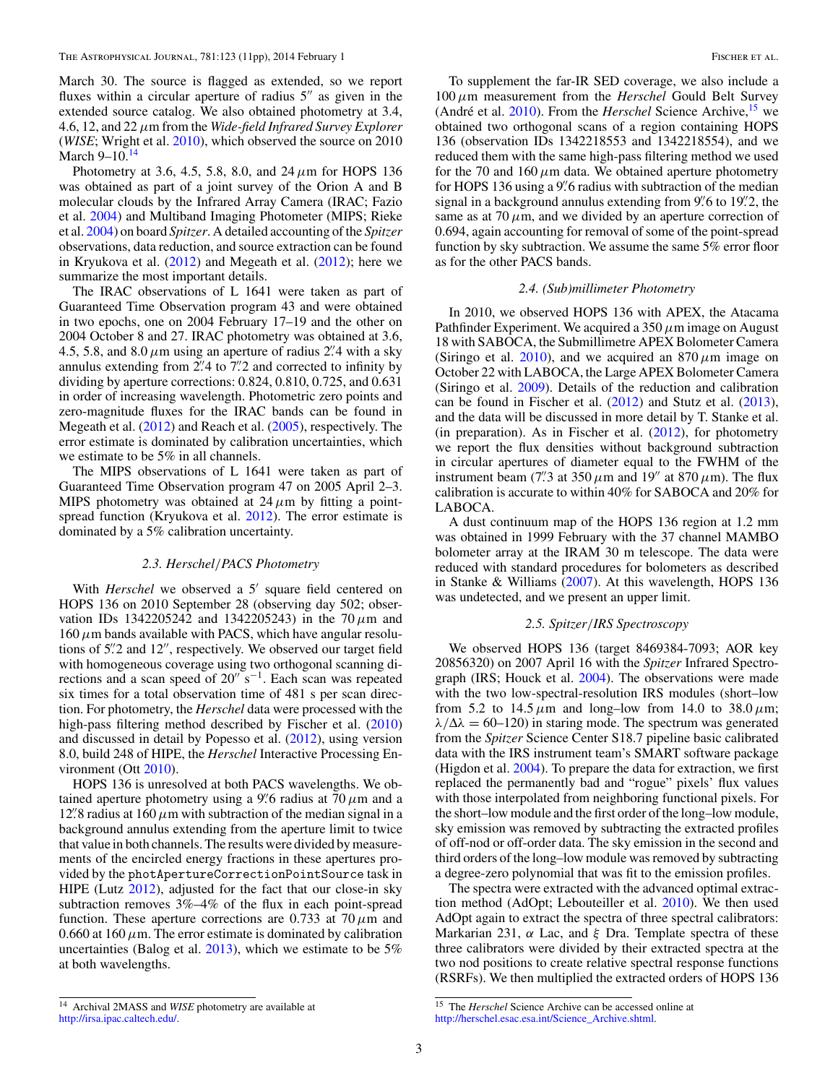March 30. The source is flagged as extended, so we report fluxes within a circular aperture of radius  $5''$  as given in the extended source catalog. We also obtained photometry at 3.4, 4.6, 12, and 22*μ*m from the *Wide-field Infrared Survey Explorer* (*WISE*; Wright et al. [2010\)](#page-10-0), which observed the source on 2010 March 9–10.<sup>14</sup>

Photometry at 3.6, 4.5, 5.8, 8.0, and 24*μ*m for HOPS 136 was obtained as part of a joint survey of the Orion A and B molecular clouds by the Infrared Array Camera (IRAC; Fazio et al. [2004\)](#page-10-0) and Multiband Imaging Photometer (MIPS; Rieke et al. [2004\)](#page-10-0) on board *Spitzer*. A detailed accounting of the *Spitzer* observations, data reduction, and source extraction can be found in Kryukova et al.  $(2012)$  and Megeath et al.  $(2012)$ ; here we summarize the most important details.

The IRAC observations of L 1641 were taken as part of Guaranteed Time Observation program 43 and were obtained in two epochs, one on 2004 February 17–19 and the other on 2004 October 8 and 27. IRAC photometry was obtained at 3.6, 4.5, 5.8, and  $8.0 \mu m$  using an aperture of radius 2<sup>"</sup>. 4 with a sky annulus extending from 2*.* 4 to 7*.* 2 and corrected to infinity by dividing by aperture corrections: 0.824, 0.810, 0.725, and 0.631 in order of increasing wavelength. Photometric zero points and zero-magnitude fluxes for the IRAC bands can be found in Megeath et al. [\(2012\)](#page-10-0) and Reach et al. [\(2005\)](#page-10-0), respectively. The error estimate is dominated by calibration uncertainties, which we estimate to be 5% in all channels.

The MIPS observations of L 1641 were taken as part of Guaranteed Time Observation program 47 on 2005 April 2–3. MIPS photometry was obtained at  $24 \mu m$  by fitting a pointspread function (Kryukova et al. [2012\)](#page-10-0). The error estimate is dominated by a 5% calibration uncertainty.

### *2.3. Herschel/PACS Photometry*

With *Herschel* we observed a 5' square field centered on HOPS 136 on 2010 September 28 (observing day 502; observation IDs 1342205242 and 1342205243) in the 70*μ*m and  $160 \mu$ m bands available with PACS, which have angular resolutions of 5<sup>"</sup>. 2 and 12", respectively. We observed our target field with homogeneous coverage using two orthogonal scanning directions and a scan speed of 20" s<sup>−1</sup>. Each scan was repeated six times for a total observation time of 481 s per scan direction. For photometry, the *Herschel* data were processed with the high-pass filtering method described by Fischer et al. [\(2010\)](#page-10-0) and discussed in detail by Popesso et al. [\(2012\)](#page-10-0), using version 8.0, build 248 of HIPE, the *Herschel* Interactive Processing En-vironment (Ott [2010\)](#page-10-0).

HOPS 136 is unresolved at both PACS wavelengths. We obtained aperture photometry using a 9*.* 6 radius at 70*μ*m and a 12.<sup>"</sup> 8 radius at 160  $\mu$ m with subtraction of the median signal in a background annulus extending from the aperture limit to twice that value in both channels. The results were divided by measurements of the encircled energy fractions in these apertures provided by the photApertureCorrectionPointSource task in HIPE (Lutz [2012\)](#page-10-0), adjusted for the fact that our close-in sky subtraction removes 3%–4% of the flux in each point-spread function. These aperture corrections are 0.733 at 70*μ*m and 0.660 at  $160 \mu$ m. The error estimate is dominated by calibration uncertainties (Balog et al. [2013\)](#page-10-0), which we estimate to be 5% at both wavelengths.

To supplement the far-IR SED coverage, we also include a 100*μ*m measurement from the *Herschel* Gould Belt Survey (André et al. [2010\)](#page-10-0). From the *Herschel* Science Archive,<sup>15</sup> we obtained two orthogonal scans of a region containing HOPS 136 (observation IDs 1342218553 and 1342218554), and we reduced them with the same high-pass filtering method we used for the 70 and  $160 \mu m$  data. We obtained aperture photometry for HOPS 136 using a 9*.* 6 radius with subtraction of the median signal in a background annulus extending from 9*.* 6 to 19*.* 2, the same as at  $70 \mu$ m, and we divided by an aperture correction of 0.694, again accounting for removal of some of the point-spread function by sky subtraction. We assume the same 5% error floor as for the other PACS bands.

#### *2.4. (Sub)millimeter Photometry*

In 2010, we observed HOPS 136 with APEX, the Atacama Pathfinder Experiment. We acquired a 350*μ*m image on August 18 with SABOCA, the Submillimetre APEX Bolometer Camera (Siringo et al. [2010\)](#page-10-0), and we acquired an  $870 \mu m$  image on October 22 with LABOCA, the Large APEX Bolometer Camera (Siringo et al. [2009\)](#page-10-0). Details of the reduction and calibration can be found in Fischer et al. [\(2012\)](#page-10-0) and Stutz et al. [\(2013\)](#page-10-0), and the data will be discussed in more detail by T. Stanke et al. (in preparation). As in Fischer et al.  $(2012)$ , for photometry we report the flux densities without background subtraction in circular apertures of diameter equal to the FWHM of the instrument beam (7<sup>"</sup>. at 350  $\mu$ m and 19<sup>"</sup> at 870  $\mu$ m). The flux calibration is accurate to within 40% for SABOCA and 20% for LABOCA.

A dust continuum map of the HOPS 136 region at 1.2 mm was obtained in 1999 February with the 37 channel MAMBO bolometer array at the IRAM 30 m telescope. The data were reduced with standard procedures for bolometers as described in Stanke & Williams [\(2007\)](#page-10-0). At this wavelength, HOPS 136 was undetected, and we present an upper limit.

#### *2.5. Spitzer/IRS Spectroscopy*

We observed HOPS 136 (target 8469384-7093; AOR key 20856320) on 2007 April 16 with the *Spitzer* Infrared Spectrograph (IRS; Houck et al. [2004\)](#page-10-0). The observations were made with the two low-spectral-resolution IRS modules (short–low from 5.2 to 14.5*μ*m and long–low from 14.0 to 38.0*μ*m;  $\lambda/\Delta\lambda = 60$ –120) in staring mode. The spectrum was generated from the *Spitzer* Science Center S18.7 pipeline basic calibrated data with the IRS instrument team's SMART software package (Higdon et al. [2004\)](#page-10-0). To prepare the data for extraction, we first replaced the permanently bad and "rogue" pixels' flux values with those interpolated from neighboring functional pixels. For the short–low module and the first order of the long–low module, sky emission was removed by subtracting the extracted profiles of off-nod or off-order data. The sky emission in the second and third orders of the long–low module was removed by subtracting a degree-zero polynomial that was fit to the emission profiles.

The spectra were extracted with the advanced optimal extraction method (AdOpt; Lebouteiller et al. [2010\)](#page-10-0). We then used AdOpt again to extract the spectra of three spectral calibrators: Markarian 231, *α* Lac, and *ξ* Dra. Template spectra of these three calibrators were divided by their extracted spectra at the two nod positions to create relative spectral response functions (RSRFs). We then multiplied the extracted orders of HOPS 136

<sup>14</sup> Archival 2MASS and *WISE* photometry are available at [http://irsa.ipac.caltech.edu/.](http://irsa.ipac.caltech.edu/)

<sup>15</sup> The *Herschel* Science Archive can be accessed online at [http://herschel.esac.esa.int/Science\\_Archive.shtml.](http://herschel.esac.esa.int/Science_Archive.shtml)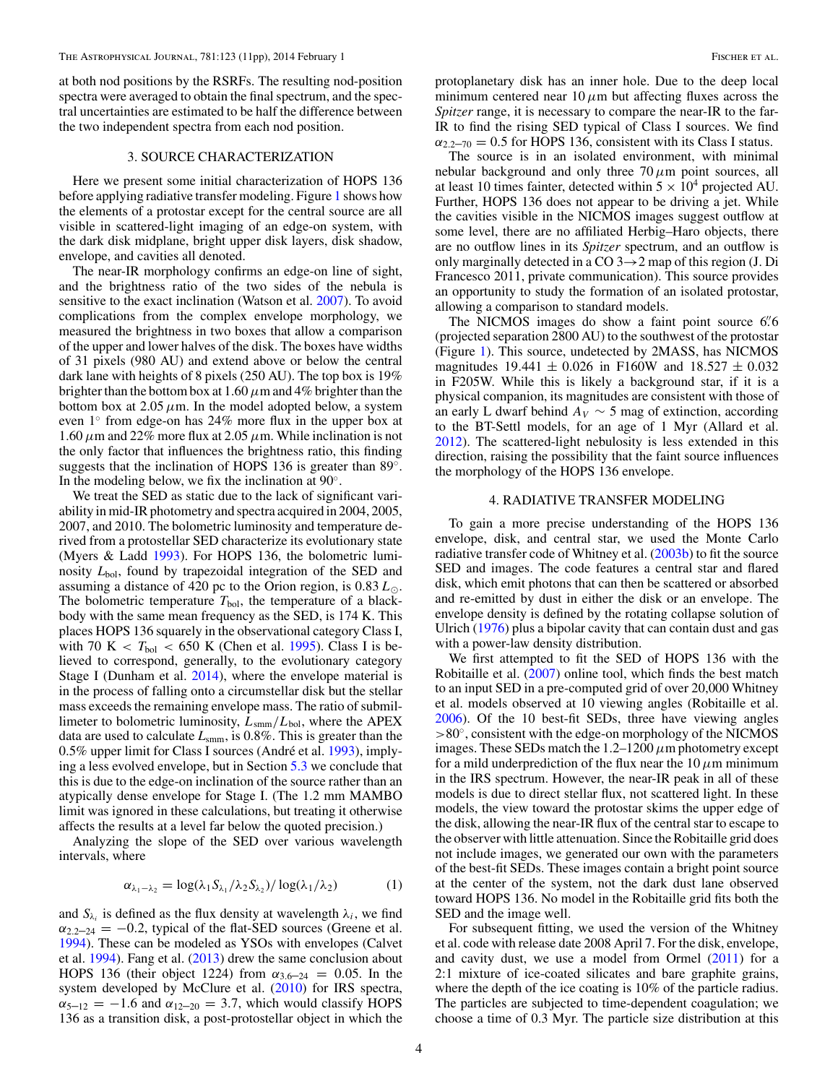<span id="page-3-0"></span>at both nod positions by the RSRFs. The resulting nod-position spectra were averaged to obtain the final spectrum, and the spectral uncertainties are estimated to be half the difference between the two independent spectra from each nod position.

## 3. SOURCE CHARACTERIZATION

Here we present some initial characterization of HOPS 136 before applying radiative transfer modeling. Figure [1](#page-1-0) shows how the elements of a protostar except for the central source are all visible in scattered-light imaging of an edge-on system, with the dark disk midplane, bright upper disk layers, disk shadow, envelope, and cavities all denoted.

The near-IR morphology confirms an edge-on line of sight, and the brightness ratio of the two sides of the nebula is sensitive to the exact inclination (Watson et al. [2007\)](#page-10-0). To avoid complications from the complex envelope morphology, we measured the brightness in two boxes that allow a comparison of the upper and lower halves of the disk. The boxes have widths of 31 pixels (980 AU) and extend above or below the central dark lane with heights of 8 pixels (250 AU). The top box is 19% brighter than the bottom box at 1.60*μ*m and 4% brighter than the bottom box at  $2.05 \mu$ m. In the model adopted below, a system even 1◦ from edge-on has 24% more flux in the upper box at  $1.60 \mu$ m and 22% more flux at 2.05  $\mu$ m. While inclination is not the only factor that influences the brightness ratio, this finding suggests that the inclination of HOPS 136 is greater than 89◦. In the modeling below, we fix the inclination at 90◦.

We treat the SED as static due to the lack of significant variability in mid-IR photometry and spectra acquired in 2004, 2005, 2007, and 2010. The bolometric luminosity and temperature derived from a protostellar SED characterize its evolutionary state (Myers & Ladd [1993\)](#page-10-0). For HOPS 136, the bolometric luminosity *L*bol, found by trapezoidal integration of the SED and assuming a distance of 420 pc to the Orion region, is 0.83*L*. The bolometric temperature  $T_{bol}$ , the temperature of a blackbody with the same mean frequency as the SED, is 174 K. This places HOPS 136 squarely in the observational category Class I, with 70 K  $\langle T_{\text{bol}} \rangle$  < 650 K (Chen et al. [1995\)](#page-10-0). Class I is believed to correspond, generally, to the evolutionary category Stage I (Dunham et al. [2014\)](#page-10-0), where the envelope material is in the process of falling onto a circumstellar disk but the stellar mass exceeds the remaining envelope mass. The ratio of submillimeter to bolometric luminosity,  $L_{\text{smm}}/L_{\text{bol}}$ , where the APEX data are used to calculate *L*smm, is 0.8%. This is greater than the 0.5% upper limit for Class I sources (André et al. [1993\)](#page-10-0), implying a less evolved envelope, but in Section [5.3](#page-9-0) we conclude that this is due to the edge-on inclination of the source rather than an atypically dense envelope for Stage I. (The 1.2 mm MAMBO limit was ignored in these calculations, but treating it otherwise affects the results at a level far below the quoted precision.)

Analyzing the slope of the SED over various wavelength intervals, where

$$
\alpha_{\lambda_1-\lambda_2} = \log(\lambda_1 S_{\lambda_1}/\lambda_2 S_{\lambda_2})/\log(\lambda_1/\lambda_2)
$$
 (1)

and  $S_{\lambda_i}$  is defined as the flux density at wavelength  $\lambda_i$ , we find  $\alpha_{2,2-24} = -0.2$ , typical of the flat-SED sources (Greene et al. [1994\)](#page-10-0). These can be modeled as YSOs with envelopes (Calvet et al. [1994\)](#page-10-0). Fang et al. [\(2013\)](#page-10-0) drew the same conclusion about HOPS 136 (their object 1224) from  $\alpha_{3.6-24} = 0.05$ . In the system developed by McClure et al. [\(2010\)](#page-10-0) for IRS spectra,  $\alpha_{5-12} = -1.6$  and  $\alpha_{12-20} = 3.7$ , which would classify HOPS 136 as a transition disk, a post-protostellar object in which the

protoplanetary disk has an inner hole. Due to the deep local minimum centered near  $10 \mu m$  but affecting fluxes across the *Spitzer* range, it is necessary to compare the near-IR to the far-IR to find the rising SED typical of Class I sources. We find  $\alpha_{2.2-70} = 0.5$  for HOPS 136, consistent with its Class I status.

The source is in an isolated environment, with minimal nebular background and only three 70*μ*m point sources, all at least 10 times fainter, detected within  $5 \times 10^4$  projected AU. Further, HOPS 136 does not appear to be driving a jet. While the cavities visible in the NICMOS images suggest outflow at some level, there are no affiliated Herbig–Haro objects, there are no outflow lines in its *Spitzer* spectrum, and an outflow is only marginally detected in a CO  $3 \rightarrow 2$  map of this region (J. Di Francesco 2011, private communication). This source provides an opportunity to study the formation of an isolated protostar, allowing a comparison to standard models.

The NICMOS images do show a faint point source 6*.* 6 (projected separation 2800 AU) to the southwest of the protostar (Figure [1\)](#page-1-0). This source, undetected by 2MASS, has NICMOS magnitudes 19*.*441 ± 0*.*026 in F160W and 18*.*527 ± 0*.*032 in F205W. While this is likely a background star, if it is a physical companion, its magnitudes are consistent with those of an early L dwarf behind  $A_V \sim 5$  mag of extinction, according to the BT-Settl models, for an age of 1 Myr (Allard et al. [2012\)](#page-10-0). The scattered-light nebulosity is less extended in this direction, raising the possibility that the faint source influences the morphology of the HOPS 136 envelope.

### 4. RADIATIVE TRANSFER MODELING

To gain a more precise understanding of the HOPS 136 envelope, disk, and central star, we used the Monte Carlo radiative transfer code of Whitney et al. [\(2003b\)](#page-10-0) to fit the source SED and images. The code features a central star and flared disk, which emit photons that can then be scattered or absorbed and re-emitted by dust in either the disk or an envelope. The envelope density is defined by the rotating collapse solution of Ulrich [\(1976\)](#page-10-0) plus a bipolar cavity that can contain dust and gas with a power-law density distribution.

We first attempted to fit the SED of HOPS 136 with the Robitaille et al. [\(2007\)](#page-10-0) online tool, which finds the best match to an input SED in a pre-computed grid of over 20,000 Whitney et al. models observed at 10 viewing angles (Robitaille et al. [2006\)](#page-10-0). Of the 10 best-fit SEDs, three have viewing angles *>*80◦, consistent with the edge-on morphology of the NICMOS images. These SEDs match the  $1.2-1200 \mu$ m photometry except for a mild underprediction of the flux near the  $10 \mu$ m minimum in the IRS spectrum. However, the near-IR peak in all of these models is due to direct stellar flux, not scattered light. In these models, the view toward the protostar skims the upper edge of the disk, allowing the near-IR flux of the central star to escape to the observer with little attenuation. Since the Robitaille grid does not include images, we generated our own with the parameters of the best-fit SEDs. These images contain a bright point source at the center of the system, not the dark dust lane observed toward HOPS 136. No model in the Robitaille grid fits both the SED and the image well.

For subsequent fitting, we used the version of the Whitney et al. code with release date 2008 April 7. For the disk, envelope, and cavity dust, we use a model from Ormel  $(2011)$  for a 2:1 mixture of ice-coated silicates and bare graphite grains, where the depth of the ice coating is 10% of the particle radius. The particles are subjected to time-dependent coagulation; we choose a time of 0.3 Myr. The particle size distribution at this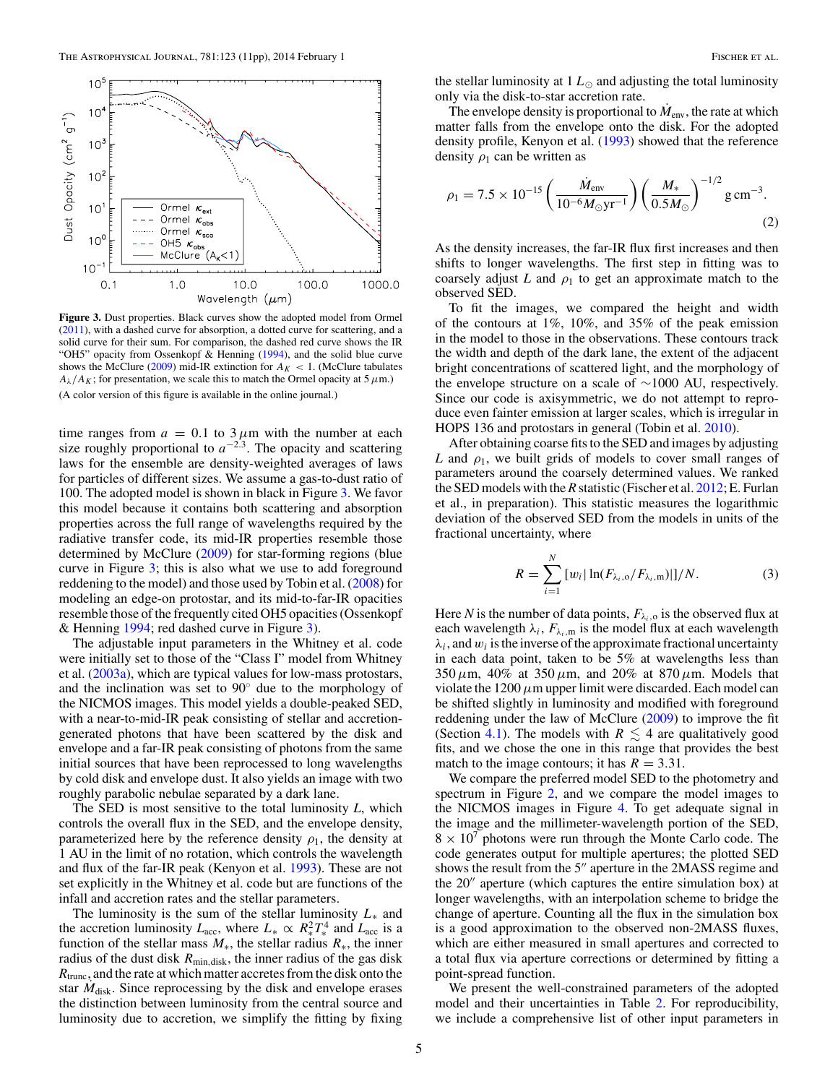<span id="page-4-0"></span>

**Figure 3.** Dust properties. Black curves show the adopted model from Ormel [\(2011\)](#page-10-0), with a dashed curve for absorption, a dotted curve for scattering, and a solid curve for their sum. For comparison, the dashed red curve shows the IR "OH5" opacity from Ossenkopf  $\&$  Henning [\(1994\)](#page-10-0), and the solid blue curve shows the McClure [\(2009\)](#page-10-0) mid-IR extinction for  $A_K < 1$ . (McClure tabulates  $A_{\lambda}/A_K$ ; for presentation, we scale this to match the Ormel opacity at 5  $\mu$ m.) (A color version of this figure is available in the online journal.)

time ranges from  $a = 0.1$  to  $3 \mu$ m with the number at each size roughly proportional to  $a^{-2.3}$ . The opacity and scattering laws for the ensemble are density-weighted averages of laws for particles of different sizes. We assume a gas-to-dust ratio of 100. The adopted model is shown in black in Figure 3. We favor this model because it contains both scattering and absorption properties across the full range of wavelengths required by the radiative transfer code, its mid-IR properties resemble those determined by McClure [\(2009\)](#page-10-0) for star-forming regions (blue curve in Figure 3; this is also what we use to add foreground reddening to the model) and those used by Tobin et al. [\(2008\)](#page-10-0) for modeling an edge-on protostar, and its mid-to-far-IR opacities resemble those of the frequently cited OH5 opacities (Ossenkopf & Henning [1994;](#page-10-0) red dashed curve in Figure 3).

The adjustable input parameters in the Whitney et al. code were initially set to those of the "Class I" model from Whitney et al. [\(2003a\)](#page-10-0), which are typical values for low-mass protostars, and the inclination was set to 90◦ due to the morphology of the NICMOS images. This model yields a double-peaked SED, with a near-to-mid-IR peak consisting of stellar and accretiongenerated photons that have been scattered by the disk and envelope and a far-IR peak consisting of photons from the same initial sources that have been reprocessed to long wavelengths by cold disk and envelope dust. It also yields an image with two roughly parabolic nebulae separated by a dark lane.

The SED is most sensitive to the total luminosity *L*, which controls the overall flux in the SED, and the envelope density, parameterized here by the reference density  $\rho_1$ , the density at 1 AU in the limit of no rotation, which controls the wavelength and flux of the far-IR peak (Kenyon et al. [1993\)](#page-10-0). These are not set explicitly in the Whitney et al. code but are functions of the infall and accretion rates and the stellar parameters.

The luminosity is the sum of the stellar luminosity *L*<sup>∗</sup> and the accretion luminosity  $L_{\text{acc}}$ , where  $L_* \propto R_*^2 T_*^4$  and  $L_{\text{acc}}$  is a function of the stellar mass  $M_*$ , the stellar radius  $R_*$ , the inner radius of the dust disk  $R_{\text{min,disk}}$ , the inner radius of the gas disk *R*trunc, and the rate at which matter accretes from the disk onto the star  $M_{disk}$ . Since reprocessing by the disk and envelope erases the distinction between luminosity from the central source and luminosity due to accretion, we simplify the fitting by fixing the stellar luminosity at  $1 L_{\odot}$  and adjusting the total luminosity only via the disk-to-star accretion rate.

The envelope density is proportional to  $M_{\text{env}}$ , the rate at which matter falls from the envelope onto the disk. For the adopted density profile, Kenyon et al. [\(1993\)](#page-10-0) showed that the reference density  $\rho_1$  can be written as

$$
\rho_1 = 7.5 \times 10^{-15} \left( \frac{\dot{M}_{\text{env}}}{10^{-6} M_{\odot} \text{yr}^{-1}} \right) \left( \frac{M_*}{0.5 M_{\odot}} \right)^{-1/2} \text{g cm}^{-3}.
$$
\n(2)

As the density increases, the far-IR flux first increases and then shifts to longer wavelengths. The first step in fitting was to coarsely adjust  $L$  and  $\rho_1$  to get an approximate match to the observed SED.

To fit the images, we compared the height and width of the contours at 1%, 10%, and 35% of the peak emission in the model to those in the observations. These contours track the width and depth of the dark lane, the extent of the adjacent bright concentrations of scattered light, and the morphology of the envelope structure on a scale of ∼1000 AU, respectively. Since our code is axisymmetric, we do not attempt to reproduce even fainter emission at larger scales, which is irregular in HOPS 136 and protostars in general (Tobin et al. [2010\)](#page-10-0).

After obtaining coarse fits to the SED and images by adjusting *L* and  $\rho_1$ , we built grids of models to cover small ranges of parameters around the coarsely determined values. We ranked the SED models with the*R*statistic (Fischer et al. [2012;](#page-10-0) E. Furlan et al., in preparation). This statistic measures the logarithmic deviation of the observed SED from the models in units of the fractional uncertainty, where

$$
R = \sum_{i=1}^{N} [w_i | \ln(F_{\lambda_i,0}/F_{\lambda_i,m})|]/N.
$$
 (3)

Here *N* is the number of data points,  $F_{\lambda_i,0}$  is the observed flux at each wavelength  $\lambda_i$ ,  $F_{\lambda_i,m}$  is the model flux at each wavelength  $\lambda_i$ , and  $w_i$  is the inverse of the approximate fractional uncertainty in each data point, taken to be 5% at wavelengths less than 350*μ*m, 40% at 350*μ*m, and 20% at 870*μ*m. Models that violate the 1200*μ*m upper limit were discarded. Each model can be shifted slightly in luminosity and modified with foreground reddening under the law of McClure [\(2009\)](#page-10-0) to improve the fit (Section [4.1\)](#page-5-0). The models with  $R \leq 4$  are qualitatively good fits, and we chose the one in this range that provides the best match to the image contours; it has  $R = 3.31$ .

We compare the preferred model SED to the photometry and spectrum in Figure [2,](#page-1-0) and we compare the model images to the NICMOS images in Figure [4.](#page-5-0) To get adequate signal in the image and the millimeter-wavelength portion of the SED,  $8 \times 10^7$  photons were run through the Monte Carlo code. The code generates output for multiple apertures; the plotted SED shows the result from the  $5$ " aperture in the  $2MASS$  regime and the  $20''$  aperture (which captures the entire simulation box) at longer wavelengths, with an interpolation scheme to bridge the change of aperture. Counting all the flux in the simulation box is a good approximation to the observed non-2MASS fluxes, which are either measured in small apertures and corrected to a total flux via aperture corrections or determined by fitting a point-spread function.

We present the well-constrained parameters of the adopted model and their uncertainties in Table [2.](#page-6-0) For reproducibility, we include a comprehensive list of other input parameters in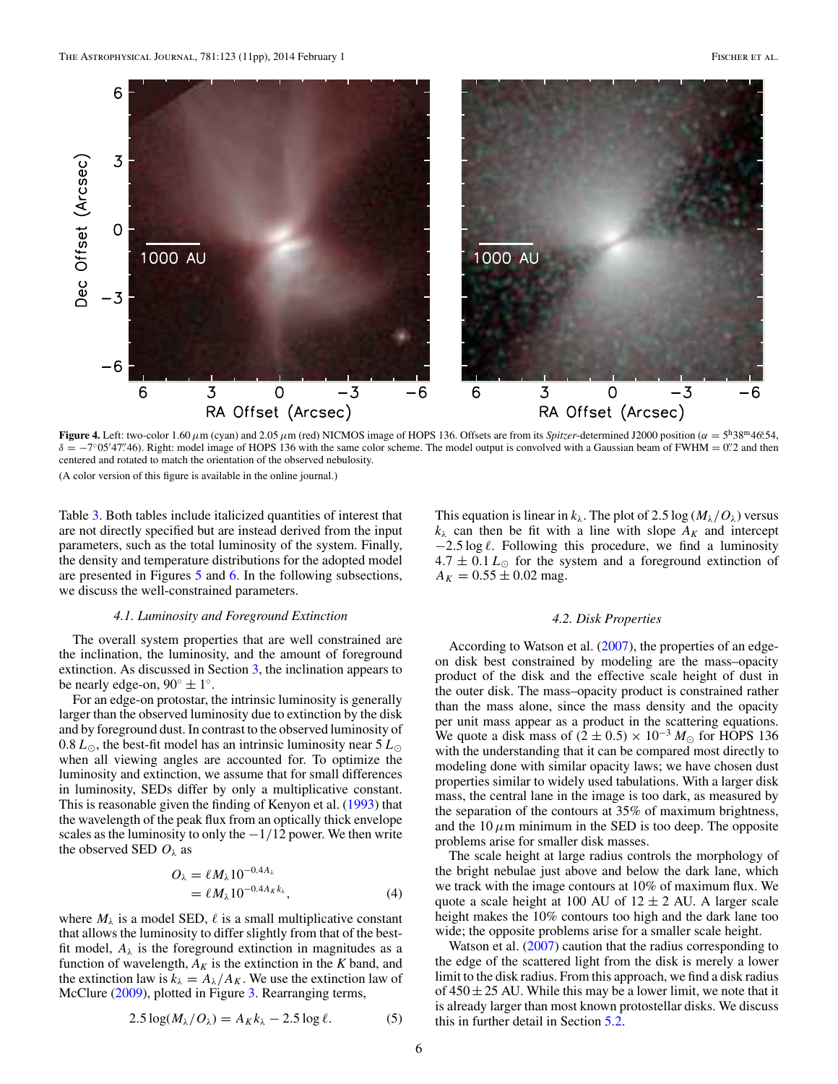<span id="page-5-0"></span>

**Figure 4.** Left: two-color 1.60  $\mu$ m (cyan) and 2.05  $\mu$ m (red) NICMOS image of HOPS 136. Offsets are from its *Spitzer*-determined J2000 position ( $\alpha = 5^{\text{h}}38^{\text{m}}46.54$ ,  $\delta = -7°05'47''46$ ). Right: model image of HOPS 136 with the same color scheme. The model output is convolved with a Gaussian beam of FWHM = 0. 2 and then centered and rotated to match the orientation of the observed nebulosity. (A color version of this figure is available in the online journal.)

Table [3.](#page-6-0) Both tables include italicized quantities of interest that are not directly specified but are instead derived from the input parameters, such as the total luminosity of the system. Finally, the density and temperature distributions for the adopted model are presented in Figures [5](#page-7-0) and [6.](#page-7-0) In the following subsections, we discuss the well-constrained parameters.

This equation is linear in  $k_{\lambda}$ . The plot of 2.5 log ( $M_{\lambda}/O_{\lambda}$ ) versus  $k_{\lambda}$  can then be fit with a line with slope  $A_K$  and intercept −2.5 log  $\ell$ . Following this procedure, we find a luminosity  $4.7 \pm 0.1 L_{\odot}$  for the system and a foreground extinction of  $A_K = 0.55 \pm 0.02$  mag.

## *4.1. Luminosity and Foreground Extinction*

The overall system properties that are well constrained are the inclination, the luminosity, and the amount of foreground extinction. As discussed in Section [3,](#page-3-0) the inclination appears to be nearly edge-on,  $90^\circ \pm 1^\circ$ .

For an edge-on protostar, the intrinsic luminosity is generally larger than the observed luminosity due to extinction by the disk and by foreground dust. In contrast to the observed luminosity of 0.8  $L_{\odot}$ , the best-fit model has an intrinsic luminosity near 5  $L_{\odot}$ when all viewing angles are accounted for. To optimize the luminosity and extinction, we assume that for small differences in luminosity, SEDs differ by only a multiplicative constant. This is reasonable given the finding of Kenyon et al. [\(1993\)](#page-10-0) that the wavelength of the peak flux from an optically thick envelope scales as the luminosity to only the −1*/*12 power. We then write the observed SED  $O_{\lambda}$  as

$$
O_{\lambda} = \ell M_{\lambda} 10^{-0.4A_{\lambda}}
$$
  
=  $\ell M_{\lambda} 10^{-0.4A_{\kappa}k_{\lambda}},$  (4)

where  $M_{\lambda}$  is a model SED,  $\ell$  is a small multiplicative constant that allows the luminosity to differ slightly from that of the bestfit model,  $A_{\lambda}$  is the foreground extinction in magnitudes as a function of wavelength,  $A_K$  is the extinction in the  $K$  band, and the extinction law is  $k_{\lambda} = A_{\lambda}/A_K$ . We use the extinction law of McClure [\(2009\)](#page-10-0), plotted in Figure [3.](#page-4-0) Rearranging terms,

$$
2.5 \log(M_{\lambda}/O_{\lambda}) = A_{K}k_{\lambda} - 2.5 \log \ell. \tag{5}
$$

#### *4.2. Disk Properties*

According to Watson et al. [\(2007\)](#page-10-0), the properties of an edgeon disk best constrained by modeling are the mass–opacity product of the disk and the effective scale height of dust in the outer disk. The mass–opacity product is constrained rather than the mass alone, since the mass density and the opacity per unit mass appear as a product in the scattering equations. We quote a disk mass of  $(2 \pm 0.5) \times 10^{-3} M_{\odot}$  for HOPS 136 with the understanding that it can be compared most directly to modeling done with similar opacity laws; we have chosen dust properties similar to widely used tabulations. With a larger disk mass, the central lane in the image is too dark, as measured by the separation of the contours at 35% of maximum brightness, and the  $10 \mu$ m minimum in the SED is too deep. The opposite problems arise for smaller disk masses.

The scale height at large radius controls the morphology of the bright nebulae just above and below the dark lane, which we track with the image contours at 10% of maximum flux. We quote a scale height at 100 AU of  $12 \pm 2$  AU. A larger scale height makes the 10% contours too high and the dark lane too wide; the opposite problems arise for a smaller scale height.

Watson et al. [\(2007\)](#page-10-0) caution that the radius corresponding to the edge of the scattered light from the disk is merely a lower limit to the disk radius. From this approach, we find a disk radius of  $450 \pm 25$  AU. While this may be a lower limit, we note that it is already larger than most known protostellar disks. We discuss this in further detail in Section [5.2.](#page-8-0)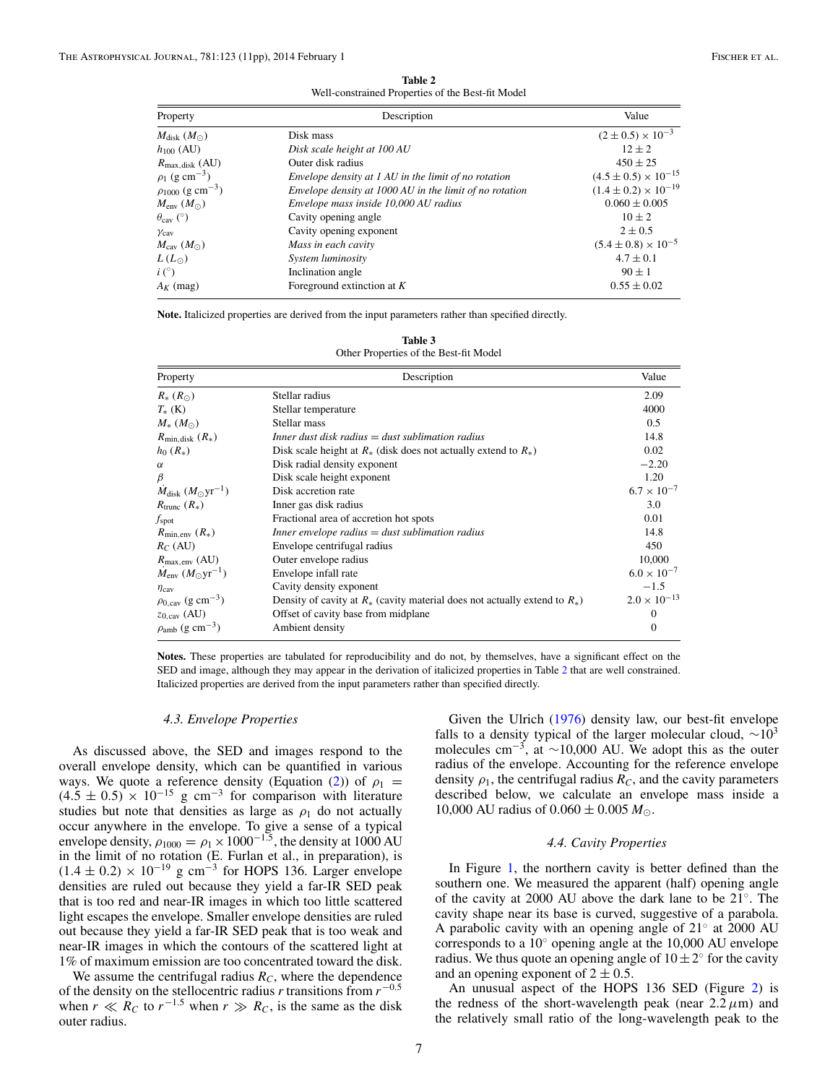**Table 2** Well-constrained Properties of the Best-fit Model

<span id="page-6-0"></span>

| Property                            | Description                                             | Value                           |  |
|-------------------------------------|---------------------------------------------------------|---------------------------------|--|
| $M_{\rm disk}$ $(M_{\odot})$        | Disk mass                                               | $(2 \pm 0.5) \times 10^{-3}$    |  |
| $h_{100}$ (AU)                      | Disk scale height at 100 AU                             | $12 + 2$                        |  |
| $R_{\text{max,disk}}$ (AU)          | Outer disk radius                                       | $450 \pm 25$                    |  |
| $\rho_1$ (g cm <sup>-3</sup> )      | Envelope density at 1 AU in the limit of no rotation    | $(4.5 \pm 0.5) \times 10^{-15}$ |  |
| $\rho_{1000}$ (g cm <sup>-3</sup> ) | Envelope density at 1000 AU in the limit of no rotation | $(1.4 \pm 0.2) \times 10^{-19}$ |  |
| $M_{\rm env} (M_{\odot})$           | Envelope mass inside 10,000 AU radius                   | $0.060 \pm 0.005$               |  |
| $\theta_{\rm cav}$ (°)              | Cavity opening angle                                    | $10 + 2$                        |  |
| $\gamma$ <sub>cav</sub>             | Cavity opening exponent                                 | $2 \pm 0.5$                     |  |
| $M_{\rm cav} (M_{\odot})$           | Mass in each cavity                                     | $(5.4 \pm 0.8) \times 10^{-5}$  |  |
| $L(L_{\odot})$                      | System luminosity                                       | $4.7 \pm 0.1$                   |  |
| $i$ (°)                             | Inclination angle                                       | $90 + 1$                        |  |
| $A_K$ (mag)                         | Foreground extinction at $K$                            | $0.55 \pm 0.02$                 |  |

**Note.** Italicized properties are derived from the input parameters rather than specified directly.

| Table 3                                |  |  |  |
|----------------------------------------|--|--|--|
| Other Properties of the Best-fit Model |  |  |  |

| Property                                          | Description                                                                     | Value                 |  |
|---------------------------------------------------|---------------------------------------------------------------------------------|-----------------------|--|
| $R_{*}(R_{\odot})$                                | Stellar radius                                                                  | 2.09                  |  |
| $T_{*}$ (K)                                       | Stellar temperature                                                             | 4000                  |  |
| $M_{*}(M_{\odot})$                                | Stellar mass                                                                    | 0.5                   |  |
| $R_{\text{min. disk}}(R_*)$                       | Inner dust disk radius $=$ dust sublimation radius                              | 14.8                  |  |
| $h_0(R_*)$                                        | Disk scale height at $R_{*}$ (disk does not actually extend to $R_{*}$ )        | 0.02                  |  |
| $\alpha$                                          | Disk radial density exponent                                                    | $-2.20$               |  |
| $\beta$                                           | Disk scale height exponent                                                      | 1.20                  |  |
| $\dot{M}_{\rm disk}$ $(M_{\odot} \text{yr}^{-1})$ | Disk accretion rate                                                             | $6.7 \times 10^{-7}$  |  |
| $R_{\text{trunc}}(R_*)$                           | Inner gas disk radius                                                           | 3.0                   |  |
| $f_{\rm spot}$                                    | Fractional area of accretion hot spots                                          | 0.01                  |  |
| $R_{\text{min.env}}(R_*)$                         | Inner envelope radius $=$ dust sublimation radius                               | 14.8                  |  |
| $R_C$ (AU)                                        | Envelope centrifugal radius                                                     | 450                   |  |
| $R_{\text{max,env}}$ (AU)                         | Outer envelope radius                                                           | 10,000                |  |
| $M_{\text{env}} (M_{\odot} \text{yr}^{-1})$       | Envelope infall rate                                                            | $6.0 \times 10^{-7}$  |  |
| $\eta_{\text{cav}}$                               | Cavity density exponent                                                         | $-1.5$                |  |
| $\rho_{0, \text{cav}}$ (g cm <sup>-3</sup> )      | Density of cavity at $R_*$ (cavity material does not actually extend to $R_*$ ) | $2.0 \times 10^{-13}$ |  |
| $z_{0, \text{cav}}$ (AU)                          | Offset of cavity base from midplane                                             | $\mathbf{0}$          |  |
| $\rho_{amb}$ (g cm <sup>-3</sup> )                | Ambient density                                                                 | $\mathbf{0}$          |  |

**Notes.** These properties are tabulated for reproducibility and do not, by themselves, have a significant effect on the SED and image, although they may appear in the derivation of italicized properties in Table 2 that are well constrained. Italicized properties are derived from the input parameters rather than specified directly.

#### *4.3. Envelope Properties*

As discussed above, the SED and images respond to the overall envelope density, which can be quantified in various ways. We quote a reference density (Equation [\(2\)](#page-4-0)) of  $\rho_1$  =  $(4.5 \pm 0.5) \times 10^{-15}$  g cm<sup>-3</sup> for comparison with literature studies but note that densities as large as  $\rho_1$  do not actually occur anywhere in the envelope. To give a sense of a typical envelope density,  $\rho_{1000} = \rho_1 \times 1000^{-1.5}$ , the density at 1000 AU in the limit of no rotation (E. Furlan et al., in preparation), is  $(1.4 \pm 0.2) \times 10^{-19}$  g cm<sup>-3</sup> for HOPS 136. Larger envelope densities are ruled out because they yield a far-IR SED peak that is too red and near-IR images in which too little scattered light escapes the envelope. Smaller envelope densities are ruled out because they yield a far-IR SED peak that is too weak and near-IR images in which the contours of the scattered light at 1% of maximum emission are too concentrated toward the disk.

We assume the centrifugal radius  $R_C$ , where the dependence of the density on the stellocentric radius *r* transitions from *r*−0*.*<sup>5</sup> when  $r \ll R_C$  to  $r^{-1.5}$  when  $r \gg R_C$ , is the same as the disk outer radius.

Given the Ulrich [\(1976\)](#page-10-0) density law, our best-fit envelope falls to a density typical of the larger molecular cloud,  $\sim 10^3$ molecules cm<sup>-3</sup>, at ~10,000 AU. We adopt this as the outer radius of the envelope. Accounting for the reference envelope density  $\rho_1$ , the centrifugal radius  $R_C$ , and the cavity parameters described below, we calculate an envelope mass inside a 10,000 AU radius of  $0.060 \pm 0.005 M_{\odot}$ .

## *4.4. Cavity Properties*

In Figure [1,](#page-1-0) the northern cavity is better defined than the southern one. We measured the apparent (half) opening angle of the cavity at 2000 AU above the dark lane to be 21◦. The cavity shape near its base is curved, suggestive of a parabola. A parabolic cavity with an opening angle of 21◦ at 2000 AU corresponds to a  $10°$  opening angle at the 10,000 AU envelope radius. We thus quote an opening angle of  $10±2°$  for the cavity and an opening exponent of  $2 \pm 0.5$ .

An unusual aspect of the HOPS 136 SED (Figure [2\)](#page-1-0) is the redness of the short-wavelength peak (near  $2.2 \mu m$ ) and the relatively small ratio of the long-wavelength peak to the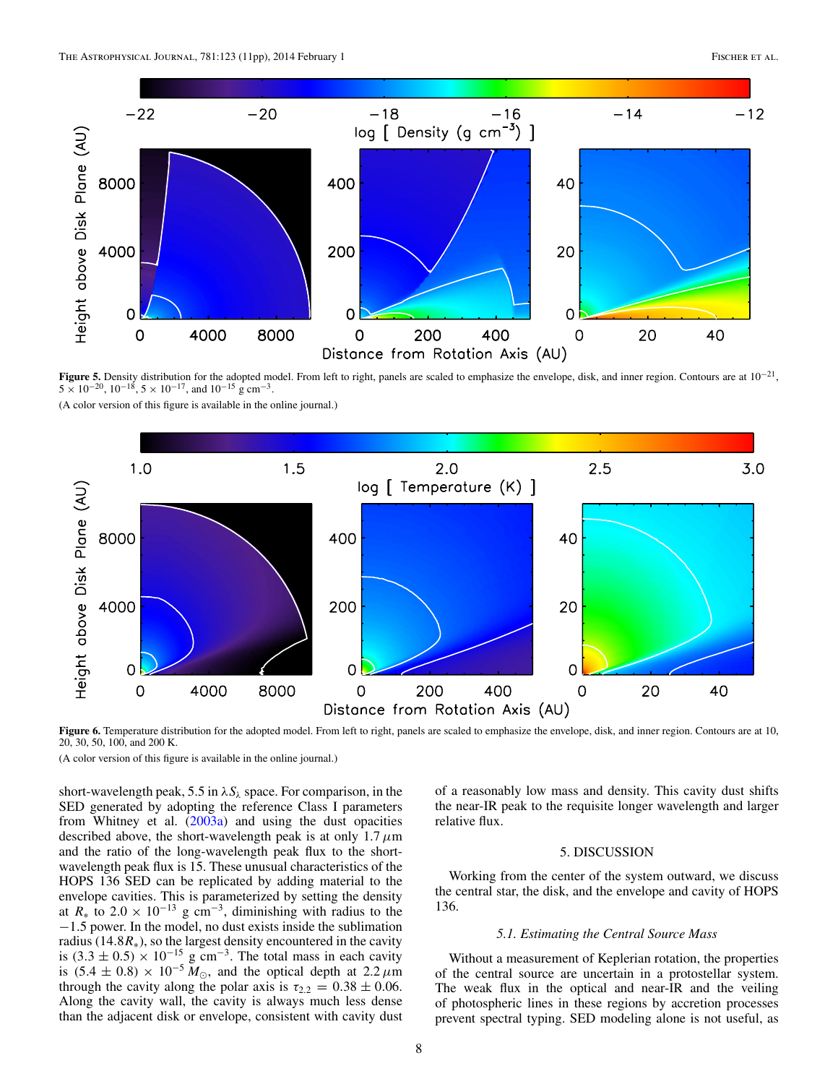<span id="page-7-0"></span>

**Figure 5.** Density distribution for the adopted model. From left to right, panels are scaled to emphasize the envelope, disk, and inner region. Contours are at 10−21,  $5 \times 10^{-20}$ ,  $10^{-18}$ ,  $5 \times 10^{-17}$ , and  $10^{-15}$  g cm<sup>-3</sup>.

(A color version of this figure is available in the online journal.)



Figure 6. Temperature distribution for the adopted model. From left to right, panels are scaled to emphasize the envelope, disk, and inner region. Contours are at 10, 20, 30, 50, 100, and 200 K.

(A color version of this figure is available in the online journal.)

short-wavelength peak, 5.5 in  $\lambda S_{\lambda}$  space. For comparison, in the SED generated by adopting the reference Class I parameters from Whitney et al. [\(2003a\)](#page-10-0) and using the dust opacities described above, the short-wavelength peak is at only  $1.7 \mu m$ and the ratio of the long-wavelength peak flux to the shortwavelength peak flux is 15. These unusual characteristics of the HOPS 136 SED can be replicated by adding material to the envelope cavities. This is parameterized by setting the density at  $R_*$  to 2.0 × 10<sup>-13</sup> g cm<sup>-3</sup>, diminishing with radius to the −1*.*5 power. In the model, no dust exists inside the sublimation radius (14.8 $R_*$ ), so the largest density encountered in the cavity is  $(3.3 \pm 0.5) \times 10^{-15}$  g cm<sup>-3</sup>. The total mass in each cavity is  $(5.4 \pm 0.8) \times 10^{-5} M_{\odot}$ , and the optical depth at 2.2  $\mu$ m through the cavity along the polar axis is  $\tau_{2,2} = 0.38 \pm 0.06$ . Along the cavity wall, the cavity is always much less dense than the adjacent disk or envelope, consistent with cavity dust

of a reasonably low mass and density. This cavity dust shifts the near-IR peak to the requisite longer wavelength and larger relative flux.

## 5. DISCUSSION

Working from the center of the system outward, we discuss the central star, the disk, and the envelope and cavity of HOPS 136.

# *5.1. Estimating the Central Source Mass*

Without a measurement of Keplerian rotation, the properties of the central source are uncertain in a protostellar system. The weak flux in the optical and near-IR and the veiling of photospheric lines in these regions by accretion processes prevent spectral typing. SED modeling alone is not useful, as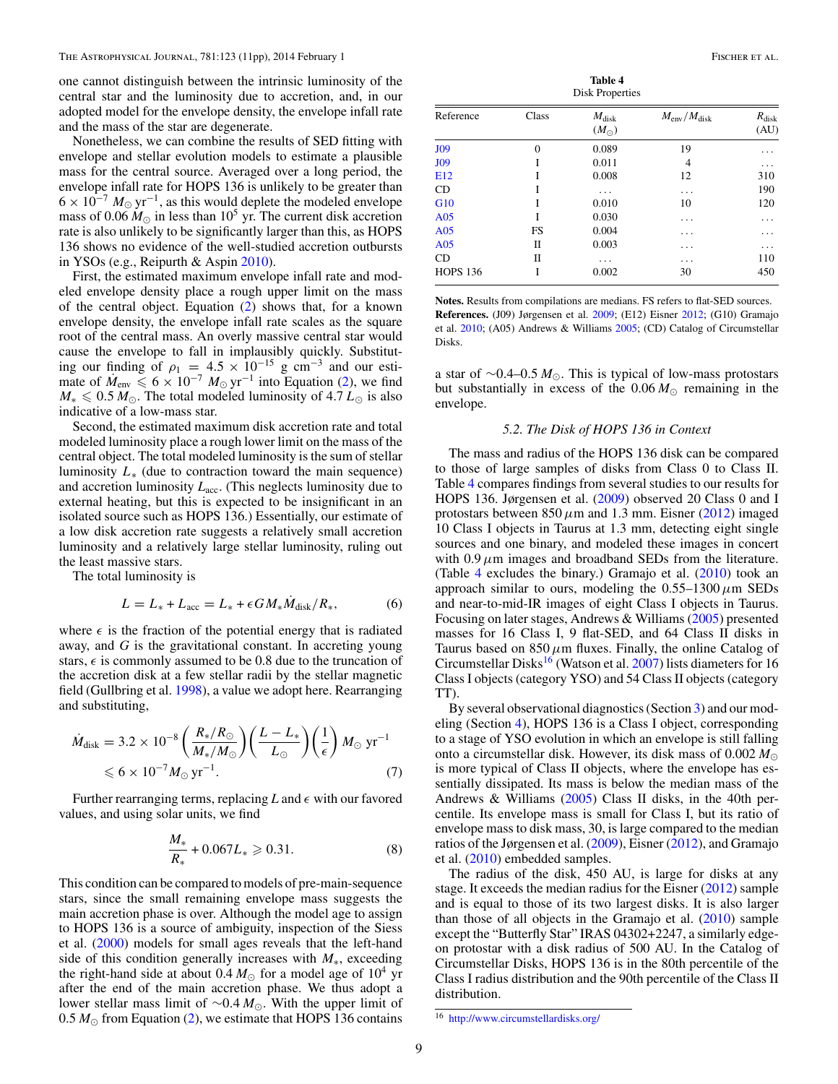<span id="page-8-0"></span>one cannot distinguish between the intrinsic luminosity of the central star and the luminosity due to accretion, and, in our adopted model for the envelope density, the envelope infall rate and the mass of the star are degenerate.

Nonetheless, we can combine the results of SED fitting with envelope and stellar evolution models to estimate a plausible mass for the central source. Averaged over a long period, the envelope infall rate for HOPS 136 is unlikely to be greater than  $6 \times 10^{-7} M_{\odot}$  yr<sup>-1</sup>, as this would deplete the modeled envelope mass of 0.06  $M_{\odot}$  in less than 10<sup>5</sup> yr. The current disk accretion rate is also unlikely to be significantly larger than this, as HOPS 136 shows no evidence of the well-studied accretion outbursts in YSOs (e.g., Reipurth & Aspin [2010\)](#page-10-0).

First, the estimated maximum envelope infall rate and modeled envelope density place a rough upper limit on the mass of the central object. Equation [\(2\)](#page-4-0) shows that, for a known envelope density, the envelope infall rate scales as the square root of the central mass. An overly massive central star would cause the envelope to fall in implausibly quickly. Substituting our finding of  $\rho_1 = 4.5 \times 10^{-15}$  g cm<sup>-3</sup> and our estimate of  $M_{\text{env}} \le 6 \times 10^{-7} M_{\odot} \text{ yr}^{-1}$  into Equation [\(2\)](#page-4-0), we find  $M_* \leq 0.5 M_{\odot}$ . The total modeled luminosity of 4.7  $L_{\odot}$  is also indicative of a low-mass star.

Second, the estimated maximum disk accretion rate and total modeled luminosity place a rough lower limit on the mass of the central object. The total modeled luminosity is the sum of stellar luminosity  $L<sub>*</sub>$  (due to contraction toward the main sequence) and accretion luminosity  $L_{\text{acc}}$ . (This neglects luminosity due to external heating, but this is expected to be insignificant in an isolated source such as HOPS 136.) Essentially, our estimate of a low disk accretion rate suggests a relatively small accretion luminosity and a relatively large stellar luminosity, ruling out the least massive stars.

The total luminosity is

$$
L = L_* + L_{\text{acc}} = L_* + \epsilon G M_* \dot{M}_{\text{disk}} / R_*, \tag{6}
$$

where  $\epsilon$  is the fraction of the potential energy that is radiated away, and *G* is the gravitational constant. In accreting young stars,  $\epsilon$  is commonly assumed to be 0.8 due to the truncation of the accretion disk at a few stellar radii by the stellar magnetic field (Gullbring et al. [1998\)](#page-10-0), a value we adopt here. Rearranging and substituting,

$$
\dot{M}_{\text{disk}} = 3.2 \times 10^{-8} \left( \frac{R_{\ast}/R_{\odot}}{M_{\ast}/M_{\odot}} \right) \left( \frac{L - L_{\ast}}{L_{\odot}} \right) \left( \frac{1}{\epsilon} \right) M_{\odot} \text{ yr}^{-1} \n\leq 6 \times 10^{-7} M_{\odot} \text{ yr}^{-1}.
$$
\n(7)

Further rearranging terms, replacing  $L$  and  $\epsilon$  with our favored values, and using solar units, we find

$$
\frac{M_*}{R_*} + 0.067L_* \ge 0.31.
$$
 (8)

This condition can be compared to models of pre-main-sequence stars, since the small remaining envelope mass suggests the main accretion phase is over. Although the model age to assign to HOPS 136 is a source of ambiguity, inspection of the Siess et al. [\(2000\)](#page-10-0) models for small ages reveals that the left-hand side of this condition generally increases with *M*∗, exceeding the right-hand side at about 0.4  $M_{\odot}$  for a model age of 10<sup>4</sup> yr after the end of the main accretion phase. We thus adopt a lower stellar mass limit of ∼0*.*4 *M*. With the upper limit of 0.5  $M_{\odot}$  from Equation [\(2\)](#page-4-0), we estimate that HOPS 136 contains

**Table 4** Disk Properties

| Reference       | Class          | $M_{\rm disk}$ | $M_{\rm env}/M_{\rm disk}$ | $R_{\rm disk}$ |
|-----------------|----------------|----------------|----------------------------|----------------|
|                 |                | $(M_{\odot})$  |                            | (AU)           |
| J09             | $\overline{0}$ | 0.089          | 19                         | .              |
| J09             | I              | 0.011          | 4                          | .              |
| E12             | Ī              | 0.008          | 12                         | 310            |
| <b>CD</b>       | I              | .              | .                          | 190            |
| G10             | I              | 0.010          | 10                         | 120            |
| A <sub>05</sub> | I              | 0.030          | .                          | .              |
| A <sub>05</sub> | FS             | 0.004          | .                          | .              |
| A <sub>05</sub> | П              | 0.003          | .                          | .              |
| CD              | П              | .              | .                          | 110            |
| <b>HOPS 136</b> | I              | 0.002          | 30                         | 450            |

**Notes.** Results from compilations are medians. FS refers to flat-SED sources. **References.** (J09) Jørgensen et al. [2009;](#page-10-0) (E12) Eisner [2012;](#page-10-0) (G10) Gramajo et al. [2010;](#page-10-0) (A05) Andrews & Williams [2005;](#page-10-0) (CD) Catalog of Circumstellar Disks.

a star of ∼0*.*4–0*.*5 *M*. This is typical of low-mass protostars but substantially in excess of the  $0.06 M_{\odot}$  remaining in the envelope.

# *5.2. The Disk of HOPS 136 in Context*

The mass and radius of the HOPS 136 disk can be compared to those of large samples of disks from Class 0 to Class II. Table 4 compares findings from several studies to our results for HOPS 136. Jørgensen et al. [\(2009\)](#page-10-0) observed 20 Class 0 and I protostars between  $850 \mu m$  and 1.3 mm. Eisner [\(2012\)](#page-10-0) imaged 10 Class I objects in Taurus at 1.3 mm, detecting eight single sources and one binary, and modeled these images in concert with  $0.9 \mu$ m images and broadband SEDs from the literature. (Table 4 excludes the binary.) Gramajo et al.  $(2010)$  took an approach similar to ours, modeling the  $0.55-1300 \,\mu \text{m}$  SEDs and near-to-mid-IR images of eight Class I objects in Taurus. Focusing on later stages, Andrews & Williams [\(2005\)](#page-10-0) presented masses for 16 Class I, 9 flat-SED, and 64 Class II disks in Taurus based on  $850 \mu m$  fluxes. Finally, the online Catalog of Circumstellar Disks<sup>16</sup> (Watson et al. [2007\)](#page-10-0) lists diameters for 16 Class I objects (category YSO) and 54 Class II objects (category TT).

By several observational diagnostics (Section [3\)](#page-3-0) and our modeling (Section [4\)](#page-3-0), HOPS 136 is a Class I object, corresponding to a stage of YSO evolution in which an envelope is still falling onto a circumstellar disk. However, its disk mass of 0.002 *M* is more typical of Class II objects, where the envelope has essentially dissipated. Its mass is below the median mass of the Andrews & Williams [\(2005\)](#page-10-0) Class II disks, in the 40th percentile. Its envelope mass is small for Class I, but its ratio of envelope mass to disk mass, 30, is large compared to the median ratios of the Jørgensen et al. [\(2009\)](#page-10-0), Eisner [\(2012\)](#page-10-0), and Gramajo et al. [\(2010\)](#page-10-0) embedded samples.

The radius of the disk, 450 AU, is large for disks at any stage. It exceeds the median radius for the Eisner [\(2012\)](#page-10-0) sample and is equal to those of its two largest disks. It is also larger than those of all objects in the Gramajo et al. [\(2010\)](#page-10-0) sample except the "Butterfly Star" IRAS 04302+2247, a similarly edgeon protostar with a disk radius of 500 AU. In the Catalog of Circumstellar Disks, HOPS 136 is in the 80th percentile of the Class I radius distribution and the 90th percentile of the Class II distribution.

<sup>16</sup> <http://www.circumstellardisks.org/>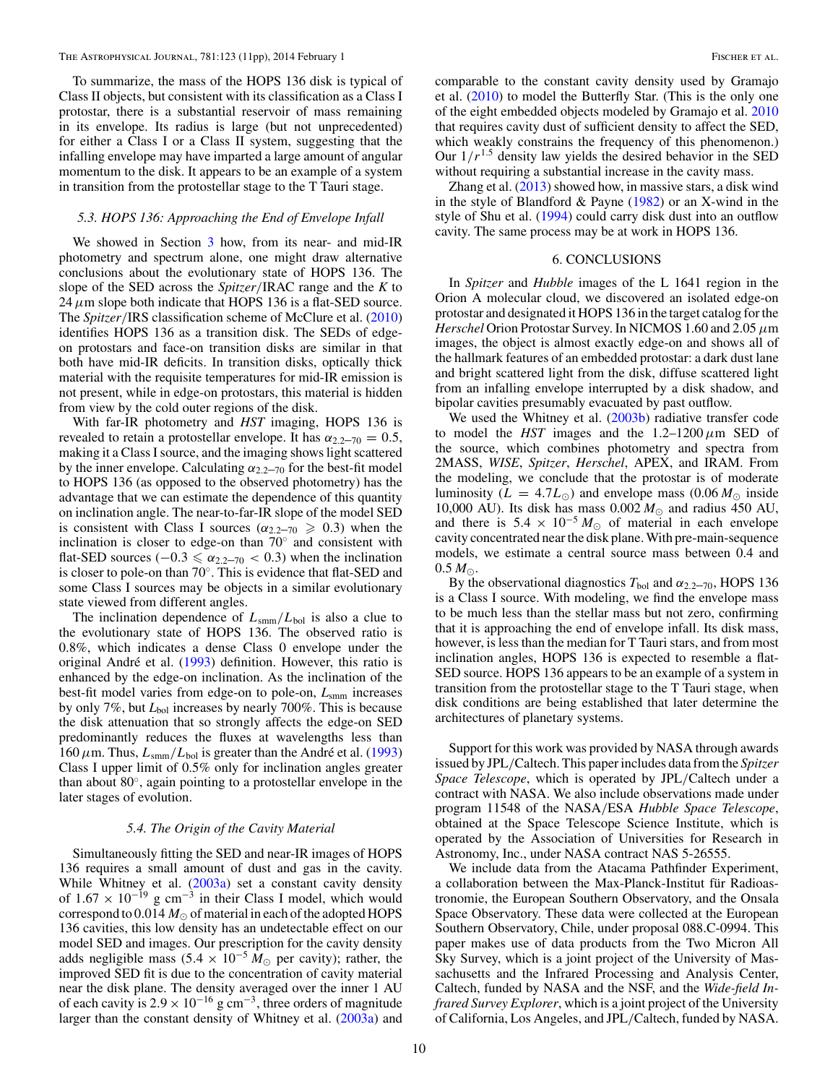<span id="page-9-0"></span>To summarize, the mass of the HOPS 136 disk is typical of Class II objects, but consistent with its classification as a Class I protostar, there is a substantial reservoir of mass remaining in its envelope. Its radius is large (but not unprecedented) for either a Class I or a Class II system, suggesting that the infalling envelope may have imparted a large amount of angular momentum to the disk. It appears to be an example of a system in transition from the protostellar stage to the T Tauri stage.

### *5.3. HOPS 136: Approaching the End of Envelope Infall*

We showed in Section [3](#page-3-0) how, from its near- and mid-IR photometry and spectrum alone, one might draw alternative conclusions about the evolutionary state of HOPS 136. The slope of the SED across the *Spitzer/*IRAC range and the *K* to  $24 \mu$ m slope both indicate that HOPS 136 is a flat-SED source. The *Spitzer/*IRS classification scheme of McClure et al. [\(2010\)](#page-10-0) identifies HOPS 136 as a transition disk. The SEDs of edgeon protostars and face-on transition disks are similar in that both have mid-IR deficits. In transition disks, optically thick material with the requisite temperatures for mid-IR emission is not present, while in edge-on protostars, this material is hidden from view by the cold outer regions of the disk.

With far-IR photometry and *HST* imaging, HOPS 136 is revealed to retain a protostellar envelope. It has  $\alpha_{2.2-70} = 0.5$ , making it a Class I source, and the imaging shows light scattered by the inner envelope. Calculating  $\alpha_{2,2}$ – $\gamma_0$  for the best-fit model to HOPS 136 (as opposed to the observed photometry) has the advantage that we can estimate the dependence of this quantity on inclination angle. The near-to-far-IR slope of the model SED is consistent with Class I sources ( $\alpha_{2.2-70} \ge 0.3$ ) when the inclination is closer to edge-on than 70◦ and consistent with flat-SED sources ( $-0.3 \le \alpha_{2.2-70} < 0.3$ ) when the inclination is closer to pole-on than 70◦. This is evidence that flat-SED and some Class I sources may be objects in a similar evolutionary state viewed from different angles.

The inclination dependence of *L*smm*/L*bol is also a clue to the evolutionary state of HOPS 136. The observed ratio is 0.8%, which indicates a dense Class 0 envelope under the original André et al. ([1993\)](#page-10-0) definition. However, this ratio is enhanced by the edge-on inclination. As the inclination of the best-fit model varies from edge-on to pole-on, *L*smm increases by only 7%, but *L*bol increases by nearly 700%. This is because the disk attenuation that so strongly affects the edge-on SED predominantly reduces the fluxes at wavelengths less than  $160 \mu$ m. Thus,  $L_{\text{smm}}/L_{\text{bol}}$  is greater than the André et al. ([1993\)](#page-10-0) Class I upper limit of 0.5% only for inclination angles greater than about 80◦, again pointing to a protostellar envelope in the later stages of evolution.

# *5.4. The Origin of the Cavity Material*

Simultaneously fitting the SED and near-IR images of HOPS 136 requires a small amount of dust and gas in the cavity. While Whitney et al. [\(2003a\)](#page-10-0) set a constant cavity density of  $1.67 \times 10^{-19}$  g cm<sup>-3</sup> in their Class I model, which would correspond to  $0.014 M_{\odot}$  of material in each of the adopted HOPS 136 cavities, this low density has an undetectable effect on our model SED and images. Our prescription for the cavity density adds negligible mass  $(5.4 \times 10^{-5} M_{\odot}$  per cavity); rather, the improved SED fit is due to the concentration of cavity material near the disk plane. The density averaged over the inner 1 AU of each cavity is  $2.9 \times 10^{-16}$  g cm<sup>-3</sup>, three orders of magnitude larger than the constant density of Whitney et al. [\(2003a\)](#page-10-0) and comparable to the constant cavity density used by Gramajo et al. [\(2010\)](#page-10-0) to model the Butterfly Star. (This is the only one of the eight embedded objects modeled by Gramajo et al. [2010](#page-10-0) that requires cavity dust of sufficient density to affect the SED, which weakly constrains the frequency of this phenomenon.) Our  $1/r^{1.5}$  density law yields the desired behavior in the SED without requiring a substantial increase in the cavity mass.

Zhang et al.  $(2013)$  showed how, in massive stars, a disk wind in the style of Blandford  $&$  Payne [\(1982\)](#page-10-0) or an X-wind in the style of Shu et al. [\(1994\)](#page-10-0) could carry disk dust into an outflow cavity. The same process may be at work in HOPS 136.

### 6. CONCLUSIONS

In *Spitzer* and *Hubble* images of the L 1641 region in the Orion A molecular cloud, we discovered an isolated edge-on protostar and designated it HOPS 136 in the target catalog for the *Herschel* Orion Protostar Survey. In NICMOS 1.60 and 2.05*μ*m images, the object is almost exactly edge-on and shows all of the hallmark features of an embedded protostar: a dark dust lane and bright scattered light from the disk, diffuse scattered light from an infalling envelope interrupted by a disk shadow, and bipolar cavities presumably evacuated by past outflow.

We used the Whitney et al. [\(2003b\)](#page-10-0) radiative transfer code to model the *HST* images and the  $1.2-1200 \mu m$  SED of the source, which combines photometry and spectra from 2MASS, *WISE*, *Spitzer*, *Herschel*, APEX, and IRAM. From the modeling, we conclude that the protostar is of moderate luminosity ( $L = 4.7L_{\odot}$ ) and envelope mass (0.06  $M_{\odot}$  inside 10,000 AU). Its disk has mass  $0.002 M_{\odot}$  and radius 450 AU, and there is  $5.4 \times 10^{-5} M_{\odot}$  of material in each envelope cavity concentrated near the disk plane.With pre-main-sequence models, we estimate a central source mass between 0.4 and  $0.5 M_{\odot}$ .

By the observational diagnostics  $T_{bol}$  and  $\alpha_{2.2-70}$ , HOPS 136 is a Class I source. With modeling, we find the envelope mass to be much less than the stellar mass but not zero, confirming that it is approaching the end of envelope infall. Its disk mass, however, is less than the median for T Tauri stars, and from most inclination angles, HOPS 136 is expected to resemble a flat-SED source. HOPS 136 appears to be an example of a system in transition from the protostellar stage to the T Tauri stage, when disk conditions are being established that later determine the architectures of planetary systems.

Support for this work was provided by NASA through awards issued by JPL*/*Caltech. This paper includes data from the *Spitzer Space Telescope*, which is operated by JPL*/*Caltech under a contract with NASA. We also include observations made under program 11548 of the NASA*/*ESA *Hubble Space Telescope*, obtained at the Space Telescope Science Institute, which is operated by the Association of Universities for Research in Astronomy, Inc., under NASA contract NAS 5-26555.

We include data from the Atacama Pathfinder Experiment, a collaboration between the Max-Planck-Institut für Radioastronomie, the European Southern Observatory, and the Onsala Space Observatory. These data were collected at the European Southern Observatory, Chile, under proposal 088.C-0994. This paper makes use of data products from the Two Micron All Sky Survey, which is a joint project of the University of Massachusetts and the Infrared Processing and Analysis Center, Caltech, funded by NASA and the NSF, and the *Wide-field Infrared Survey Explorer*, which is a joint project of the University of California, Los Angeles, and JPL*/*Caltech, funded by NASA.